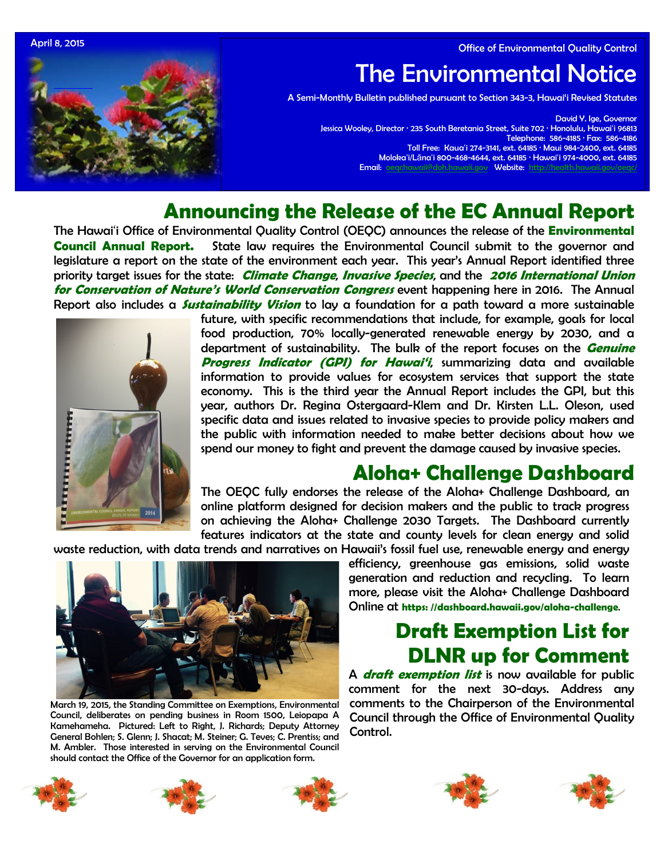April 8, 2015 **Office of Environmental Quality Control** 



# The Environmental Notice

A Semi-Monthly Bulletin published pursuant to Section 343-3, Hawai'i Revised Statutes

David Y. Ige, Governor Jessica Wooley, Director · 235 South Beretania Street, Suite 702 · Honolulu, Hawaiʻi 96813 Telephone: 586-4185 · Fax: 586-4186 Toll Free: Kauaʻi 274-3141, ext. 64185 · Maui 984-2400, ext. 64185 Molokaʻi/Lānaʻi 800-468-4644, ext. 64185 · Hawaiʻi 974-4000, ext. 64185 Email: [oeqchawaii@doh.hawaii.gov](mailto:oeqchawaii@doh.hawaii.gov) Website: http

# **Announcing the Release of the EC Annual Report**

The Hawai'i Office of Environmental Quality Control (OEQC) announces the release of the **[Environmental](http://oeqc.doh.hawaii.gov/Shared%20Documents/Environmental_Council/Annual_Reports/Annual-Report-2014.pdf)  [Council Annual Report.](http://oeqc.doh.hawaii.gov/Shared%20Documents/Environmental_Council/Annual_Reports/Annual-Report-2014.pdf)** State law requires the Environmental Council submit to the governor and legislature a report on the state of the environment each year. This year's Annual Report identified three priority target issues for the state: **Climate Change**, **Invasive Species**, and the **2016 International Union for Conservation of Nature's World Conservation Congress** event happening here in 2016. The Annual Report also includes a **Sustainability Vision** to lay a foundation for a path toward a more sustainable



future, with specific recommendations that include, for example, goals for local food production, 70% locally-generated renewable energy by 2030, and a department of sustainability. The bulk of the report focuses on the **Genuine Progress Indicator (GPI) for Hawai'i**, summarizing data and available information to provide values for ecosystem services that support the state economy. This is the third year the Annual Report includes the GPI, but this year, authors Dr. Regina Ostergaard-Klem and Dr. Kirsten L.L. Oleson, used specific data and issues related to invasive species to provide policy makers and the public with information needed to make better decisions about how we spend our money to fight and prevent the damage caused by invasive species.

# **Aloha+ Challenge Dashboard**

The OEQC fully endorses the release of the Aloha+ Challenge Dashboard, an online platform designed for decision makers and the public to track progress on achieving the Aloha+ Challenge 2030 Targets. The Dashboard currently features indicators at the state and county levels for clean energy and solid

waste reduction, with data trends and narratives on Hawaii's fossil fuel use, renewable energy and energy



March 19, 2015, the Standing Committee on Exemptions, Environmental Council, deliberates on pending business in Room 1500, Leiopapa A Kamehameha. Pictured: Left to Right, J. Richards; Deputy Attorney General Bohlen; S. Glenn; J. Shacat; M. Steiner; G. Teves; C. Prentiss; and M. Ambler. Those interested in serving on the Environmental Council should contact the Office of the Governor for an application form.

efficiency, greenhouse gas emissions, solid waste generation and reduction and recycling. To learn more, please visit the Aloha+ Challenge Dashboard Online at **https: //dashboard.hawaii.gov/aloha-challenge**.

# **Draft Exemption List for DLNR up for Comment**

A **[draft exemption list](http://oeqc.doh.hawaii.gov/Shared%20Documents/EA_and_EIS_Online_Library/Exemption%20Notices/Dept-of-Land-and-Natural-Resources-Comprehensive-Exemption-List-DRAFT.pdf)** is now available for public comment for the next 30-days. Address any comments to the Chairperson of the Environmental Council through the Office of Environmental Quality Control.









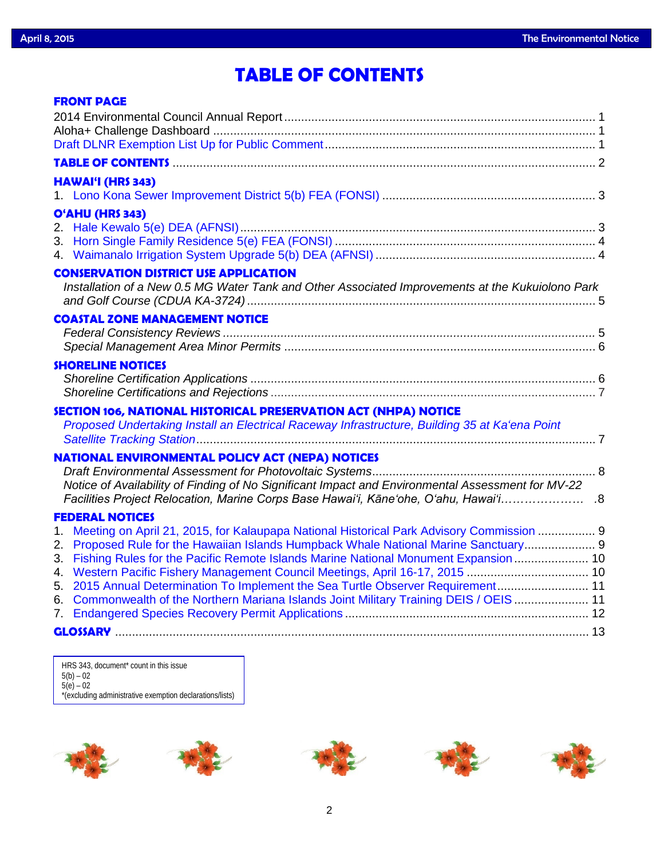# **TABLE OF CONTENTS**

| <b>FRONT PAGE</b>                                                                                                                                                          |  |
|----------------------------------------------------------------------------------------------------------------------------------------------------------------------------|--|
|                                                                                                                                                                            |  |
|                                                                                                                                                                            |  |
|                                                                                                                                                                            |  |
|                                                                                                                                                                            |  |
| <b>HAWAI'I (HRS 343)</b>                                                                                                                                                   |  |
|                                                                                                                                                                            |  |
| O'AHU (HRS 343)                                                                                                                                                            |  |
|                                                                                                                                                                            |  |
|                                                                                                                                                                            |  |
|                                                                                                                                                                            |  |
| <b>CONSERVATION DISTRICT USE APPLICATION</b>                                                                                                                               |  |
| Installation of a New 0.5 MG Water Tank and Other Associated Improvements at the Kukuiolono Park                                                                           |  |
|                                                                                                                                                                            |  |
| <b>COASTAL ZONE MANAGEMENT NOTICE</b>                                                                                                                                      |  |
|                                                                                                                                                                            |  |
|                                                                                                                                                                            |  |
| <b>SHORELINE NOTICES</b>                                                                                                                                                   |  |
|                                                                                                                                                                            |  |
|                                                                                                                                                                            |  |
| SECTION 106, NATIONAL HISTORICAL PRESERVATION ACT (NHPA) NOTICE                                                                                                            |  |
| Proposed Undertaking Install an Electrical Raceway Infrastructure, Building 35 at Ka'ena Point                                                                             |  |
|                                                                                                                                                                            |  |
| <b>NATIONAL ENVIRONMENTAL POLICY ACT (NEPA) NOTICES</b>                                                                                                                    |  |
|                                                                                                                                                                            |  |
| Notice of Availability of Finding of No Significant Impact and Environmental Assessment for MV-22                                                                          |  |
| Racilities Project Relocation, Marine Corps Base Hawai'i, Kāne'ohe, O'ahu, Hawai'i                                                                                         |  |
| <b>FEDERAL NOTICES</b>                                                                                                                                                     |  |
| 1. Meeting on April 21, 2015, for Kalaupapa National Historical Park Advisory Commission  9                                                                                |  |
| Proposed Rule for the Hawaiian Islands Humpback Whale National Marine Sanctuary 9<br>2.                                                                                    |  |
| Fishing Rules for the Pacific Remote Islands Marine National Monument Expansion  10<br>3.<br>4. Western Pacific Fishery Management Council Meetings, April 16-17, 2015  10 |  |
| 5. 2015 Annual Determination To Implement the Sea Turtle Observer Requirement 11                                                                                           |  |
| Commonwealth of the Northern Mariana Islands Joint Military Training DEIS / OEIS  11<br>6.                                                                                 |  |
|                                                                                                                                                                            |  |
|                                                                                                                                                                            |  |
|                                                                                                                                                                            |  |

HRS 343, document\* count in this issue 5(b) – 02 5(e) – 02 \*(excluding administrative exemption declarations/lists)

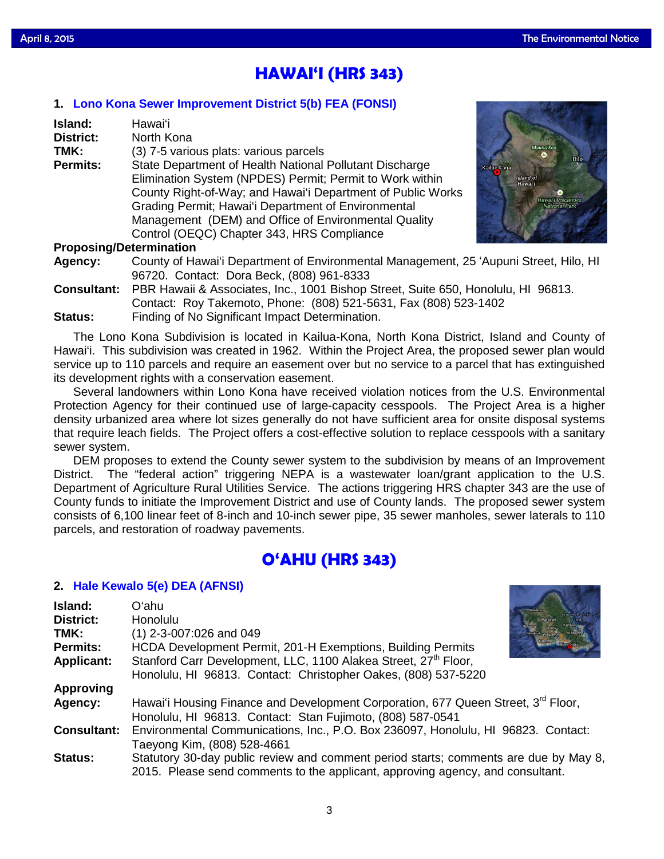# **HAWAI'I (HRS 343)**

## **1. [Lono Kona Sewer Improvement District](http://oeqc.doh.hawaii.gov/Shared%20Documents/EA_and_EIS_Online_Library/Hawaii/2010s/2015-04-08-HA-5B-FEA-Lono-Kona-Sewer-Improvement-District.pdf) 5(b) FEA (FONSI)**

| Island:                        | <b>Hawai</b> 'i                                             |  |  |  |  |
|--------------------------------|-------------------------------------------------------------|--|--|--|--|
| District:                      | North Kona                                                  |  |  |  |  |
| TMK:                           | (3) 7-5 various plats: various parcels                      |  |  |  |  |
| <b>Permits:</b>                | State Department of Health National Pollutant Discharge     |  |  |  |  |
|                                | Elimination System (NPDES) Permit; Permit to Work within    |  |  |  |  |
|                                | County Right-of-Way; and Hawai'i Department of Public Works |  |  |  |  |
|                                | Grading Permit; Hawai'i Department of Environmental         |  |  |  |  |
|                                | Management (DEM) and Office of Environmental Quality        |  |  |  |  |
|                                | Control (OEQC) Chapter 343, HRS Compliance                  |  |  |  |  |
| <b>Proposing/Determination</b> |                                                             |  |  |  |  |



## **Proposing/Determination**

| Agency: | County of Hawai'i Department of Environmental Management, 25 'Aupuni Street, Hilo, HI   |
|---------|-----------------------------------------------------------------------------------------|
|         | 96720. Contact: Dora Beck, (808) 961-8333                                               |
|         | Cancultant: DDD Hougii & Accociatos Ing. 1001 Dichan Ctroot Cuito CEO Honglulu HI 00012 |

**Consultant:** PBR Hawaii & Associates, Inc., 1001 Bishop Street, Suite 650, Honolulu, HI 96813. Contact: Roy Takemoto, Phone: (808) 521-5631, Fax (808) 523-1402 **Status:** Finding of No Significant Impact Determination.

The Lono Kona Subdivision is located in Kailua-Kona, North Kona District, Island and County of Hawai'i. This subdivision was created in 1962. Within the Project Area, the proposed sewer plan would service up to 110 parcels and require an easement over but no service to a parcel that has extinguished its development rights with a conservation easement.

Several landowners within Lono Kona have received violation notices from the U.S. Environmental Protection Agency for their continued use of large-capacity cesspools. The Project Area is a higher density urbanized area where lot sizes generally do not have sufficient area for onsite disposal systems that require leach fields. The Project offers a cost-effective solution to replace cesspools with a sanitary sewer system.

DEM proposes to extend the County sewer system to the subdivision by means of an Improvement District. The "federal action" triggering NEPA is a wastewater loan/grant application to the U.S. Department of Agriculture Rural Utilities Service. The actions triggering HRS chapter 343 are the use of County funds to initiate the Improvement District and use of County lands. The proposed sewer system consists of 6,100 linear feet of 8-inch and 10-inch sewer pipe, 35 sewer manholes, sewer laterals to 110 parcels, and restoration of roadway pavements.

# **O'AHU (HRS 343)**

## **2. [Hale Kewalo 5\(e\) DEA \(AFNSI\)](http://oeqc.doh.hawaii.gov/Shared%20Documents/EA_and_EIS_Online_Library/Oahu/2010s/2015-04-08-OA-5E-DEA-Hale%20Kewalo.pdf)**

| Island:            | Oʻahu                                                                                                                                                                  |  |  |
|--------------------|------------------------------------------------------------------------------------------------------------------------------------------------------------------------|--|--|
| District:          | Honolulu                                                                                                                                                               |  |  |
| TMK:               | $(1)$ 2-3-007:026 and 049                                                                                                                                              |  |  |
| <b>Permits:</b>    | HCDA Development Permit, 201-H Exemptions, Building Permits                                                                                                            |  |  |
| <b>Applicant:</b>  | Stanford Carr Development, LLC, 1100 Alakea Street, 27 <sup>th</sup> Floor,                                                                                            |  |  |
|                    | Honolulu, HI 96813. Contact: Christopher Oakes, (808) 537-5220                                                                                                         |  |  |
| Approving          |                                                                                                                                                                        |  |  |
| Agency:            | Hawai'i Housing Finance and Development Corporation, 677 Queen Street, 3rd Floor,                                                                                      |  |  |
|                    | Honolulu, HI 96813. Contact: Stan Fujimoto, (808) 587-0541                                                                                                             |  |  |
| <b>Consultant:</b> | Environmental Communications, Inc., P.O. Box 236097, Honolulu, HI 96823. Contact:                                                                                      |  |  |
|                    | Taeyong Kim, (808) 528-4661                                                                                                                                            |  |  |
| <b>Status:</b>     | Statutory 30-day public review and comment period starts; comments are due by May 8,<br>2015. Please send comments to the applicant, approving agency, and consultant. |  |  |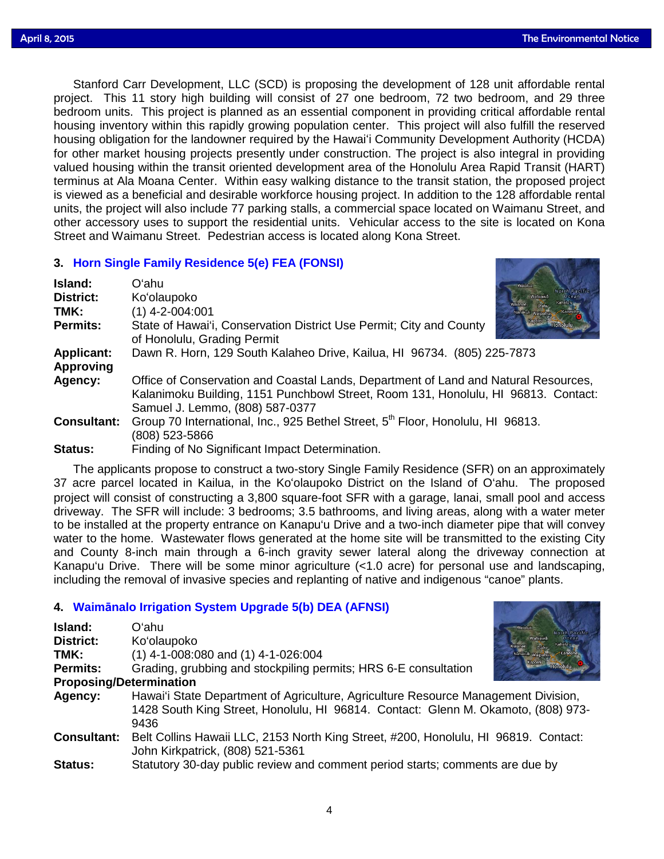Stanford Carr Development, LLC (SCD) is proposing the development of 128 unit affordable rental project. This 11 story high building will consist of 27 one bedroom, 72 two bedroom, and 29 three bedroom units. This project is planned as an essential component in providing critical affordable rental housing inventory within this rapidly growing population center. This project will also fulfill the reserved housing obligation for the landowner required by the Hawai'i Community Development Authority (HCDA) for other market housing projects presently under construction. The project is also integral in providing valued housing within the transit oriented development area of the Honolulu Area Rapid Transit (HART) terminus at Ala Moana Center. Within easy walking distance to the transit station, the proposed project is viewed as a beneficial and desirable workforce housing project. In addition to the 128 affordable rental units, the project will also include 77 parking stalls, a commercial space located on Waimanu Street, and other accessory uses to support the residential units. Vehicular access to the site is located on Kona Street and Waimanu Street. Pedestrian access is located along Kona Street.

## **3. [Horn Single Family Residence](http://oeqc.doh.hawaii.gov/Shared%20Documents/EA_and_EIS_Online_Library/Oahu/2010s/2015-04-08-OA-5E-FEA-Horn-Single-Family-Residence.pdf) 5(e) FEA (FONSI)**

| Island:            | Oʻahu                                                                                                                                                                                                        |  |  |  |
|--------------------|--------------------------------------------------------------------------------------------------------------------------------------------------------------------------------------------------------------|--|--|--|
| District:          | Ko'olaupoko                                                                                                                                                                                                  |  |  |  |
| TMK:               | $(1)$ 4-2-004:001<br>Janakuli Waipahr                                                                                                                                                                        |  |  |  |
| <b>Permits:</b>    | State of Hawai'i, Conservation District Use Permit; City and County<br>of Honolulu, Grading Permit                                                                                                           |  |  |  |
| <b>Applicant:</b>  | Dawn R. Horn, 129 South Kalaheo Drive, Kailua, HI 96734. (805) 225-7873                                                                                                                                      |  |  |  |
| <b>Approving</b>   |                                                                                                                                                                                                              |  |  |  |
| Agency:            | Office of Conservation and Coastal Lands, Department of Land and Natural Resources,<br>Kalanimoku Building, 1151 Punchbowl Street, Room 131, Honolulu, HI 96813. Contact:<br>Samuel J. Lemmo, (808) 587-0377 |  |  |  |
| <b>Consultant:</b> | Group 70 International, Inc., 925 Bethel Street, 5th Floor, Honolulu, HI 96813.<br>(808) 523-5866                                                                                                            |  |  |  |
| <b>Status:</b>     | Finding of No Significant Impact Determination.                                                                                                                                                              |  |  |  |

The applicants propose to construct a two-story Single Family Residence (SFR) on an approximately 37 acre parcel located in Kailua, in the Ko'olaupoko District on the Island of O'ahu. The proposed project will consist of constructing a 3,800 square-foot SFR with a garage, lanai, small pool and access driveway. The SFR will include: 3 bedrooms; 3.5 bathrooms, and living areas, along with a water meter to be installed at the property entrance on Kanapu'u Drive and a two-inch diameter pipe that will convey water to the home. Wastewater flows generated at the home site will be transmitted to the existing City and County 8-inch main through a 6-inch gravity sewer lateral along the driveway connection at Kanapu'u Drive. There will be some minor agriculture (<1.0 acre) for personal use and landscaping, including the removal of invasive species and replanting of native and indigenous "canoe" plants.

## **4. Waimā[nalo Irrigation System Upgrade 5\(b\) DEA \(AFNSI\)](http://oeqc.doh.hawaii.gov/Shared%20Documents/EA_and_EIS_Online_Library/Oahu/2010s/2015-04-08-OA-5B-DEA-Waimanalo-Irrigation-System-Upgrade.pdf)**

| Island:<br><b>District:</b><br>TMK:<br><b>Permits:</b><br><b>Proposing/Determination</b> | Oʻahu<br>Ko'olaupoko<br>$(1)$ 4-1-008:080 and $(1)$ 4-1-026:004<br>Grading, grubbing and stockpiling permits; HRS 6-E consultation                                              |
|------------------------------------------------------------------------------------------|---------------------------------------------------------------------------------------------------------------------------------------------------------------------------------|
| Agency:                                                                                  | Hawai'i State Department of Agriculture, Agriculture Resource Management Division,<br>1428 South King Street, Honolulu, HI 96814. Contact: Glenn M. Okamoto, (808) 973-<br>9436 |
| <b>Consultant:</b>                                                                       | Belt Collins Hawaii LLC, 2153 North King Street, #200, Honolulu, HI 96819. Contact:<br>John Kirkpatrick, (808) 521-5361                                                         |
| <b>Status:</b>                                                                           | Statutory 30-day public review and comment period starts; comments are due by                                                                                                   |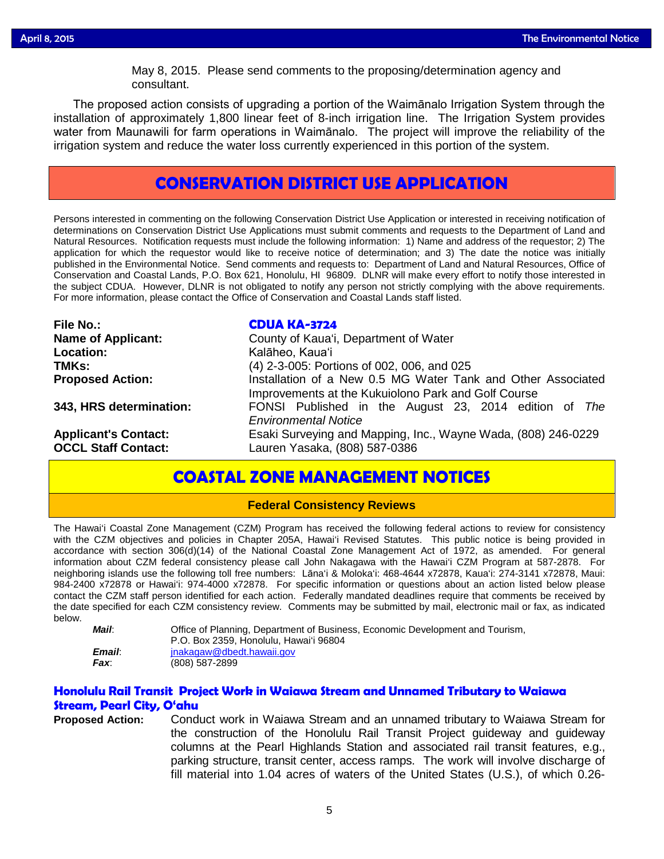May 8, 2015. Please send comments to the proposing/determination agency and<br>consultant consultant.

The proposed action consists of upgrading a portion of the Waimānalo Irrigation System through the installation of approximately 1,800 linear feet of 8-inch irrigation line. The Irrigation System provides water from Maunawili for farm operations in Waimānalo. The project will improve the reliability of the irrigation system and reduce the water loss currently experienced in this portion of the system.

# **CONSERVATION DISTRICT USE APPLICATION**

Persons interested in commenting on the following Conservation District Use Application or interested in receiving notification of determinations on Conservation District Use Applications must submit comments and requests to the Department of Land and Natural Resources. Notification requests must include the following information: 1) Name and address of the requestor; 2) The application for which the requestor would like to receive notice of determination; and 3) The date the notice was initially published in the Environmental Notice. Send comments and requests to: Department of Land and Natural Resources, Office of Conservation and Coastal Lands, P.O. Box 621, Honolulu, HI 96809. DLNR will make every effort to notify those interested in the subject CDUA. However, DLNR is not obligated to notify any person not strictly complying with the above requirements. For more information, please contact the Office of Conservation and Coastal Lands staff listed.

| <b>File No.:</b>            | <b>CDUA KA-3724</b>                                           |  |  |  |
|-----------------------------|---------------------------------------------------------------|--|--|--|
| <b>Name of Applicant:</b>   | County of Kaua'i, Department of Water                         |  |  |  |
| Location:                   | Kalāheo, Kaua'i                                               |  |  |  |
| TMKs:                       | (4) 2-3-005: Portions of 002, 006, and 025                    |  |  |  |
| <b>Proposed Action:</b>     | Installation of a New 0.5 MG Water Tank and Other Associated  |  |  |  |
|                             | Improvements at the Kukuiolono Park and Golf Course           |  |  |  |
| 343, HRS determination:     | FONSI Published in the August 23, 2014 edition of The         |  |  |  |
|                             | <b>Environmental Notice</b>                                   |  |  |  |
| <b>Applicant's Contact:</b> | Esaki Surveying and Mapping, Inc., Wayne Wada, (808) 246-0229 |  |  |  |
| <b>OCCL Staff Contact:</b>  | Lauren Yasaka, (808) 587-0386                                 |  |  |  |

# **COASTAL ZONE MANAGEMENT NOTICES**

### **Federal Consistency Reviews**

The Hawai'i Coastal Zone Management (CZM) Program has received the following federal actions to review for consistency with the CZM objectives and policies in Chapter 205A, Hawai'i Revised Statutes. This public notice is being provided in accordance with section 306(d)(14) of the National Coastal Zone Management Act of 1972, as amended. For general information about CZM federal consistency please call John Nakagawa with the Hawai'i CZM Program at 587-2878. For neighboring islands use the following toll free numbers: Lāna'i & Moloka'i: 468-4644 x72878, Kaua'i: 274-3141 x72878, Maui: 984-2400 x72878 or Hawai'i: 974-4000 x72878. For specific information or questions about an action listed below please contact the CZM staff person identified for each action. Federally mandated deadlines require that comments be received by the date specified for each CZM consistency review. Comments may be submitted by mail, electronic mail or fax, as indicated below.

| Mail:  | Office of Planning, Department of Business, Economic Development and Tourism, |
|--------|-------------------------------------------------------------------------------|
|        | P.O. Box 2359. Honolulu. Hawai'i 96804                                        |
| Email: | inakagaw@dbedt.hawaii.gov                                                     |
| Fax:   | (808) 587-2899                                                                |

## **Honolulu Rail Transit Project Work in Waiawa Stream and Unnamed Tributary to Waiawa Stream, Pearl City, O'ahu**

**Proposed Action:** Conduct work in Waiawa Stream and an unnamed tributary to Waiawa Stream for the construction of the Honolulu Rail Transit Project guideway and guideway columns at the Pearl Highlands Station and associated rail transit features, e.g., parking structure, transit center, access ramps. The work will involve discharge of fill material into 1.04 acres of waters of the United States (U.S.), of which 0.26-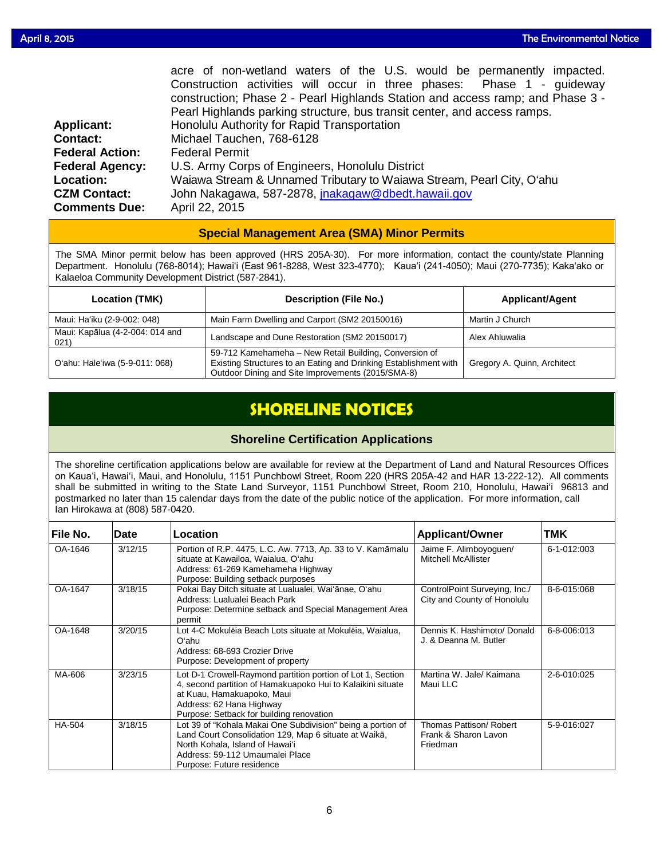|                        | acre of non-wetland waters of the U.S. would be permanently impacted.          |  |  |  |  |
|------------------------|--------------------------------------------------------------------------------|--|--|--|--|
|                        | Construction activities will occur in three phases: Phase 1 - guideway         |  |  |  |  |
|                        | construction; Phase 2 - Pearl Highlands Station and access ramp; and Phase 3 - |  |  |  |  |
|                        | Pearl Highlands parking structure, bus transit center, and access ramps.       |  |  |  |  |
| <b>Applicant:</b>      | Honolulu Authority for Rapid Transportation                                    |  |  |  |  |
| <b>Contact:</b>        | Michael Tauchen, 768-6128                                                      |  |  |  |  |
| <b>Federal Action:</b> | <b>Federal Permit</b>                                                          |  |  |  |  |
| <b>Federal Agency:</b> | U.S. Army Corps of Engineers, Honolulu District                                |  |  |  |  |
| Location:              | Waiawa Stream & Unnamed Tributary to Waiawa Stream, Pearl City, O'ahu          |  |  |  |  |
| <b>CZM Contact:</b>    | John Nakagawa, 587-2878, jnakagaw@dbedt.hawaii.gov                             |  |  |  |  |
| <b>Comments Due:</b>   | April 22, 2015                                                                 |  |  |  |  |

### **Special Management Area (SMA) Minor Permits**

The SMA Minor permit below has been approved (HRS 205A-30). For more information, contact the county/state Planning Department. Honolulu (768-8014); Hawaiʻi (East 961-8288, West 323-4770); Kauaʻi (241-4050); Maui (270-7735); Kakaʻako or Kalaeloa Community Development District (587-2841).

| <b>Location (TMK)</b>                   | <b>Description (File No.)</b>                                                                                                                                                   | <b>Applicant/Agent</b>      |
|-----------------------------------------|---------------------------------------------------------------------------------------------------------------------------------------------------------------------------------|-----------------------------|
| Maui: Ha'iku (2-9-002: 048)             | Main Farm Dwelling and Carport (SM2 20150016)                                                                                                                                   | Martin J Church             |
| Maui: Kapālua (4-2-004: 014 and<br>021) | Landscape and Dune Restoration (SM2 20150017)                                                                                                                                   | Alex Ahluwalia              |
| O'ahu: Hale'iwa (5-9-011: 068)          | 59-712 Kamehameha - New Retail Building, Conversion of<br>Existing Structures to an Eating and Drinking Establishment with<br>Outdoor Dining and Site Improvements (2015/SMA-8) | Gregory A. Quinn, Architect |

# **SHORELINE NOTICES**

### **Shoreline Certification Applications**

The shoreline certification applications below are available for review at the Department of Land and Natural Resources Offices on Kauaʻi, Hawaiʻi, Maui, and Honolulu, 1151 Punchbowl Street, Room 220 (HRS 205A-42 and HAR 13-222-12). All comments shall be submitted in writing to the State Land Surveyor, 1151 Punchbowl Street, Room 210, Honolulu, Hawai'i 96813 and postmarked no later than 15 calendar days from the date of the public notice of the application. For more information, call Ian Hirokawa at (808) 587-0420.

| File No.      | Date    | Location                                                                                                                                                                                                                         | <b>Applicant/Owner</b>                                       | TMK         |
|---------------|---------|----------------------------------------------------------------------------------------------------------------------------------------------------------------------------------------------------------------------------------|--------------------------------------------------------------|-------------|
| OA-1646       | 3/12/15 | Portion of R.P. 4475, L.C. Aw. 7713, Ap. 33 to V. Kamāmalu<br>situate at Kawailoa, Waialua, O'ahu<br>Address: 61-269 Kamehameha Highway<br>Purpose: Building setback purposes                                                    | Jaime F. Alimboyoguen/<br>Mitchell McAllister                | 6-1-012:003 |
| OA-1647       | 3/18/15 | Pokai Bay Ditch situate at Lualualei, Wai'anae, O'ahu<br>Address: Lualualei Beach Park<br>Purpose: Determine setback and Special Management Area<br>permit                                                                       | ControlPoint Surveying, Inc./<br>City and County of Honolulu | 8-6-015:068 |
| OA-1648       | 3/20/15 | Lot 4-C Mokulēja Beach Lots situate at Mokulēja, Wajalua,<br>Oʻahu<br>Address: 68-693 Crozier Drive<br>Purpose: Development of property                                                                                          | Dennis K. Hashimoto/ Donald<br>J. & Deanna M. Butler         | 6-8-006:013 |
| MA-606        | 3/23/15 | Lot D-1 Crowell-Raymond partition portion of Lot 1, Section<br>4, second partition of Hamakuapoko Hui to Kalaikini situate<br>at Kuau, Hamakuapoko, Maui<br>Address: 62 Hana Highway<br>Purpose: Setback for building renovation | Martina W. Jale/ Kaimana<br>Maui LLC                         | 2-6-010:025 |
| <b>HA-504</b> | 3/18/15 | Lot 39 of "Kohala Makai One Subdivision" being a portion of<br>Land Court Consolidation 129, Map 6 situate at Waikā,<br>North Kohala, Island of Hawai'i<br>Address: 59-112 Umaumalei Place<br>Purpose: Future residence          | Thomas Pattison/ Robert<br>Frank & Sharon Lavon<br>Friedman  | 5-9-016:027 |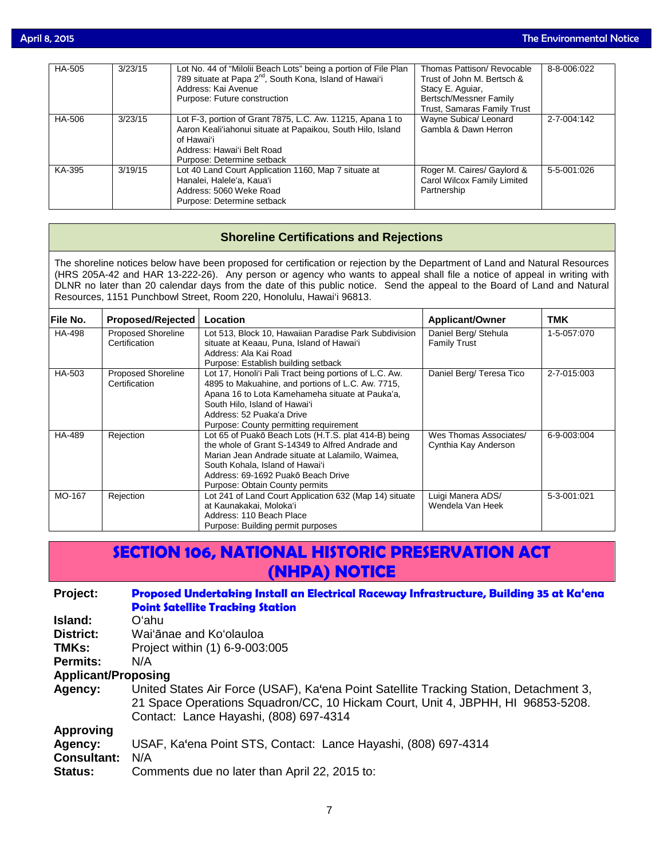| HA-505 | 3/23/15 | Lot No. 44 of "Milolii Beach Lots" being a portion of File Plan<br>789 situate at Papa 2 <sup>nd</sup> , South Kona, Island of Hawai'i<br>Address: Kai Avenue<br>Purpose: Future construction       | Thomas Pattison/ Revocable<br>Trust of John M. Bertsch &<br>Stacy E. Aguiar,<br>Bertsch/Messner Family<br>Trust, Samaras Family Trust | 8-8-006:022 |
|--------|---------|-----------------------------------------------------------------------------------------------------------------------------------------------------------------------------------------------------|---------------------------------------------------------------------------------------------------------------------------------------|-------------|
| HA-506 | 3/23/15 | Lot F-3, portion of Grant 7875, L.C. Aw. 11215, Apana 1 to<br>Aaron Keali'iahonui situate at Papaikou, South Hilo, Island<br>of Hawaiʻi<br>Address: Hawai'i Belt Road<br>Purpose: Determine setback | Wayne Subica/ Leonard<br>Gambla & Dawn Herron                                                                                         | 2-7-004:142 |
| KA-395 | 3/19/15 | Lot 40 Land Court Application 1160, Map 7 situate at<br>Hanalei, Halele'a, Kaua'i<br>Address: 5060 Weke Road<br>Purpose: Determine setback                                                          | Roger M. Caires/ Gaylord &<br>Carol Wilcox Family Limited<br>Partnership                                                              | 5-5-001:026 |

## **Shoreline Certifications and Rejections**

The shoreline notices below have been proposed for certification or rejection by the Department of Land and Natural Resources (HRS 205A-42 and HAR 13-222-26). Any person or agency who wants to appeal shall file a notice of appeal in writing with DLNR no later than 20 calendar days from the date of this public notice. Send the appeal to the Board of Land and Natural Resources, 1151 Punchbowl Street, Room 220, Honolulu, Hawai'i 96813.

| <b>File No.</b> | Proposed/Rejected                          | Location                                                                                           | <b>Applicant/Owner</b>                      | <b>TMK</b>  |
|-----------------|--------------------------------------------|----------------------------------------------------------------------------------------------------|---------------------------------------------|-------------|
| HA-498          | <b>Proposed Shoreline</b><br>Certification | Lot 513, Block 10, Hawaiian Paradise Park Subdivision<br>situate at Keaau, Puna, Island of Hawai'i | Daniel Berg/ Stehula<br><b>Family Trust</b> | 1-5-057:070 |
|                 |                                            | Address: Ala Kai Road                                                                              |                                             |             |
|                 |                                            | Purpose: Establish building setback                                                                |                                             |             |
| HA-503          | <b>Proposed Shoreline</b>                  | Lot 17, Honoli'i Pali Tract being portions of L.C. Aw.                                             | Daniel Berg/ Teresa Tico                    | 2-7-015:003 |
|                 | Certification                              | 4895 to Makuahine, and portions of L.C. Aw. 7715,                                                  |                                             |             |
|                 |                                            | Apana 16 to Lota Kamehameha situate at Pauka'a,                                                    |                                             |             |
|                 |                                            | South Hilo, Island of Hawai'i                                                                      |                                             |             |
|                 |                                            | Address: 52 Puaka'a Drive                                                                          |                                             |             |
|                 |                                            | Purpose: County permitting requirement                                                             |                                             |             |
| HA-489          | Rejection                                  | Lot 65 of Puakō Beach Lots (H.T.S. plat 414-B) being                                               | Wes Thomas Associates/                      | 6-9-003:004 |
|                 |                                            | the whole of Grant S-14349 to Alfred Andrade and                                                   | Cynthia Kay Anderson                        |             |
|                 |                                            | Marian Jean Andrade situate at Lalamilo, Waimea,                                                   |                                             |             |
|                 |                                            | South Kohala, Island of Hawai'i                                                                    |                                             |             |
|                 |                                            | Address: 69-1692 Puakō Beach Drive                                                                 |                                             |             |
|                 |                                            | Purpose: Obtain County permits                                                                     |                                             |             |
| MO-167          | Rejection                                  | Lot 241 of Land Court Application 632 (Map 14) situate                                             | Luigi Manera ADS/                           | 5-3-001:021 |
|                 |                                            | at Kaunakakai, Moloka'i                                                                            | Wendela Van Heek                            |             |
|                 |                                            | Address: 110 Beach Place                                                                           |                                             |             |
|                 |                                            | Purpose: Building permit purposes                                                                  |                                             |             |

# **SECTION 106, NATIONAL HISTORIC PRESERVATION ACT (NHPA) NOTICE**

## **Project: [Proposed Undertaking Install an Electrical Raceway Infrastructure, Building 35 at Ka'ena](http://oeqc.doh.hawaii.gov/Shared%20Documents/EA_and_EIS_Online_Library/NEPA%20and%20Other%20Documents/2015-04-08-Section-106-Bldg-35-Electrical-Project.pdf)  [Point Satellite Tracking Station](http://oeqc.doh.hawaii.gov/Shared%20Documents/EA_and_EIS_Online_Library/NEPA%20and%20Other%20Documents/2015-04-08-Section-106-Bldg-35-Electrical-Project.pdf)**

**Island:** O'ahu

**District:** Wai'ānae and Ko'olauloa

**TMKs:** Project within (1) 6-9-003:005

**Permits:** N/A

**Applicant/Proposing**

**Agency:** United States Air Force (USAF), Ka'ena Point Satellite Tracking Station, Detachment 3, 21 Space Operations Squadron/CC, 10 Hickam Court, Unit 4, JBPHH, HI 96853-5208. Contact: Lance Hayashi, (808) 697-4314

**Approving**

**Agency:** USAF, Ka'ena Point STS, Contact: Lance Hayashi, (808) 697-4314

**Consultant:** N/A

**Status:** Comments due no later than April 22, 2015 to: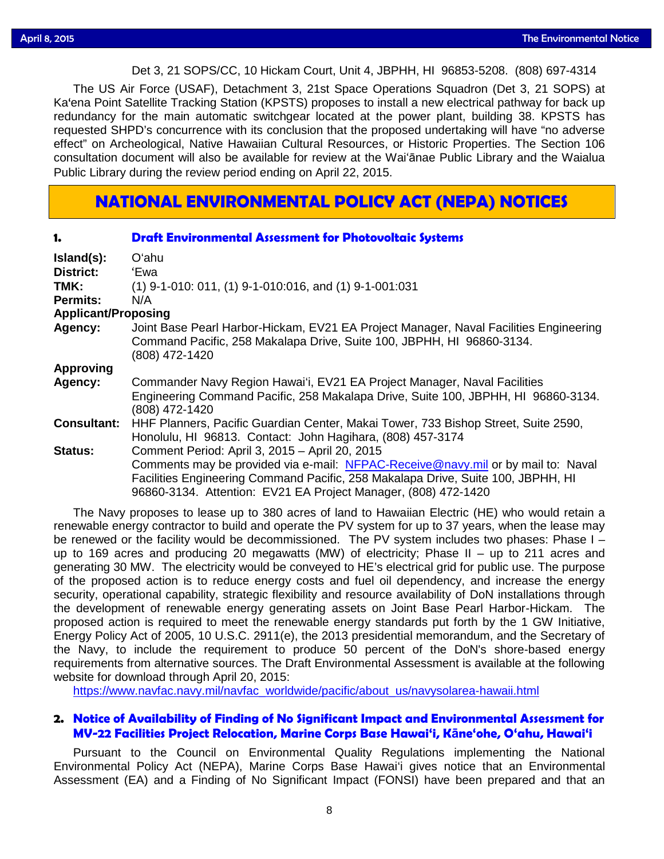# Det 3, 21 SOPS/CC, 10 Hickam Court, Unit 4, JBPHH, HI 96853-5208. (808) 697-4314

The US Air Force (USAF), Detachment 3, 21st Space Operations Squadron (Det 3, 21 SOPS) at Ka'ena Point Satellite Tracking Station (KPSTS) proposes to install a new electrical pathway for back up redundancy for the main automatic switchgear located at the power plant, building 38. KPSTS has requested SHPD's concurrence with its conclusion that the proposed undertaking will have "no adverse effect" on Archeological, Native Hawaiian Cultural Resources, or Historic Properties. The Section 106 consultation document will also be available for review at the Wai'ānae Public Library and the Waialua Public Library during the review period ending on April 22, 2015.

# **NATIONAL ENVIRONMENTAL POLICY ACT (NEPA) NOTICES**

| 1.                         | <b>Draft Environmental Assessment for Photovoltaic Systems</b>                                                                                                                                                                                                                           |  |
|----------------------------|------------------------------------------------------------------------------------------------------------------------------------------------------------------------------------------------------------------------------------------------------------------------------------------|--|
| Island(s):                 | O'ahu                                                                                                                                                                                                                                                                                    |  |
| <b>District:</b>           | 'Ewa                                                                                                                                                                                                                                                                                     |  |
| TMK:                       | $(1)$ 9-1-010: 011, (1) 9-1-010:016, and (1) 9-1-001:031                                                                                                                                                                                                                                 |  |
| Permits:                   | N/A                                                                                                                                                                                                                                                                                      |  |
| <b>Applicant/Proposing</b> |                                                                                                                                                                                                                                                                                          |  |
| Agency:                    | Joint Base Pearl Harbor-Hickam, EV21 EA Project Manager, Naval Facilities Engineering<br>Command Pacific, 258 Makalapa Drive, Suite 100, JBPHH, HI 96860-3134.<br>(808) 472-1420                                                                                                         |  |
| <b>Approving</b>           |                                                                                                                                                                                                                                                                                          |  |
| Agency:                    | Commander Navy Region Hawai'i, EV21 EA Project Manager, Naval Facilities<br>Engineering Command Pacific, 258 Makalapa Drive, Suite 100, JBPHH, HI 96860-3134.<br>(808) 472-1420                                                                                                          |  |
| <b>Consultant:</b>         | HHF Planners, Pacific Guardian Center, Makai Tower, 733 Bishop Street, Suite 2590,<br>Honolulu, HI 96813. Contact: John Hagihara, (808) 457-3174                                                                                                                                         |  |
| <b>Status:</b>             | Comment Period: April 3, 2015 - April 20, 2015<br>Comments may be provided via e-mail: NFPAC-Receive@navy.mil or by mail to: Naval<br>Facilities Engineering Command Pacific, 258 Makalapa Drive, Suite 100, JBPHH, HI<br>96860-3134. Attention: EV21 EA Project Manager, (808) 472-1420 |  |

The Navy proposes to lease up to 380 acres of land to Hawaiian Electric (HE) who would retain a renewable energy contractor to build and operate the PV system for up to 37 years, when the lease may be renewed or the facility would be decommissioned. The PV system includes two phases: Phase I – up to 169 acres and producing 20 megawatts (MW) of electricity; Phase II – up to 211 acres and generating 30 MW. The electricity would be conveyed to HE's electrical grid for public use. The purpose of the proposed action is to reduce energy costs and fuel oil dependency, and increase the energy security, operational capability, strategic flexibility and resource availability of DoN installations through the development of renewable energy generating assets on Joint Base Pearl Harbor-Hickam. The proposed action is required to meet the renewable energy standards put forth by the 1 GW Initiative, Energy Policy Act of 2005, 10 U.S.C. 2911(e), the 2013 presidential memorandum, and the Secretary of the Navy, to include the requirement to produce 50 percent of the DoN's shore-based energy requirements from alternative sources. The Draft Environmental Assessment is available at the following website for download through April 20, 2015:

[https://www.navfac.navy.mil/navfac\\_worldwide/pacific/about\\_us/navysolarea-hawaii.html](https://www.navfac.navy.mil/navfac_worldwide/pacific/about_us/navysolarea-hawaii.html)

### **2. Notice of Availability of Finding of No Significant Impact and Environmental Assessment for MV-22 Facilities Project Relocation, Marine Corps Base Hawai'i, Kāne'ohe, O'ahu, Hawai'i**

Pursuant to the Council on Environmental Quality Regulations implementing the National Environmental Policy Act (NEPA), Marine Corps Base Hawai'i gives notice that an Environmental Assessment (EA) and a Finding of No Significant Impact (FONSI) have been prepared and that an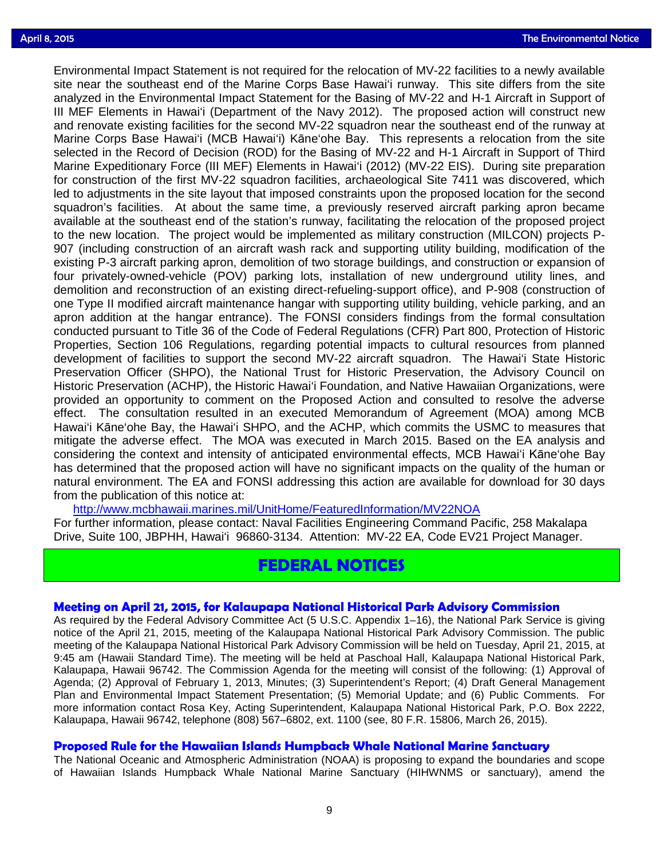Environmental Impact Statement is not required for the relocation of MV-22 facilities to a newly available<br>site near the southeast end of the Marine Corps Base Hawai'i runway. This site differs from the site site near the southeast end of the Marine Corps Base Hawai'i runway. This site differs from the site analyzed in the Environmental Impact Statement for the Basing of MV-22 and H-1 Aircraft in Support of III MEF Elements in Hawai'i (Department of the Navy 2012). The proposed action will construct new and renovate existing facilities for the second MV-22 squadron near the southeast end of the runway at Marine Corps Base Hawai'i (MCB Hawai'i) Kāne'ohe Bay. This represents a relocation from the site selected in the Record of Decision (ROD) for the Basing of MV-22 and H-1 Aircraft in Support of Third Marine Expeditionary Force (III MEF) Elements in Hawai'i (2012) (MV-22 EIS). During site preparation for construction of the first MV-22 squadron facilities, archaeological Site 7411 was discovered, which led to adjustments in the site layout that imposed constraints upon the proposed location for the second squadron's facilities. At about the same time, a previously reserved aircraft parking apron became available at the southeast end of the station's runway, facilitating the relocation of the proposed project to the new location. The project would be implemented as military construction (MILCON) projects P-907 (including construction of an aircraft wash rack and supporting utility building, modification of the existing P-3 aircraft parking apron, demolition of two storage buildings, and construction or expansion of four privately-owned-vehicle (POV) parking lots, installation of new underground utility lines, and demolition and reconstruction of an existing direct-refueling-support office), and P-908 (construction of one Type II modified aircraft maintenance hangar with supporting utility building, vehicle parking, and an apron addition at the hangar entrance). The FONSI considers findings from the formal consultation conducted pursuant to Title 36 of the Code of Federal Regulations (CFR) Part 800, Protection of Historic Properties, Section 106 Regulations, regarding potential impacts to cultural resources from planned development of facilities to support the second MV-22 aircraft squadron. The Hawai'i State Historic Preservation Officer (SHPO), the National Trust for Historic Preservation, the Advisory Council on Historic Preservation (ACHP), the Historic Hawai'i Foundation, and Native Hawaiian Organizations, were provided an opportunity to comment on the Proposed Action and consulted to resolve the adverse effect. The consultation resulted in an executed Memorandum of Agreement (MOA) among MCB Hawai'i Kāne'ohe Bay, the Hawai'i SHPO, and the ACHP, which commits the USMC to measures that mitigate the adverse effect. The MOA was executed in March 2015. Based on the EA analysis and considering the context and intensity of anticipated environmental effects, MCB Hawai'i Kāne'ohe Bay has determined that the proposed action will have no significant impacts on the quality of the human or natural environment. The EA and FONSI addressing this action are available for download for 30 days from the publication of this notice at:

<http://www.mcbhawaii.marines.mil/UnitHome/FeaturedInformation/MV22NOA>

For further information, please contact: Naval Facilities Engineering Command Pacific, 258 Makalapa Drive, Suite 100, JBPHH, Hawai'i 96860-3134. Attention: MV-22 EA, Code EV21 Project Manager.

# **FEDERAL NOTICES**

### **[Meeting on April 21, 2015, for Kalaupapa National Historical Park Advisory Commission](http://www.gpo.gov/fdsys/pkg/FR-2015-03-25/pdf/2015-06792.pdf)**

As required by the Federal Advisory Committee Act (5 U.S.C. Appendix 1–16), the National Park Service is giving notice of the April 21, 2015, meeting of the Kalaupapa National Historical Park Advisory Commission. The public meeting of the Kalaupapa National Historical Park Advisory Commission will be held on Tuesday, April 21, 2015, at 9:45 am (Hawaii Standard Time). The meeting will be held at Paschoal Hall, Kalaupapa National Historical Park, Kalaupapa, Hawaii 96742. The Commission Agenda for the meeting will consist of the following: (1) Approval of Agenda; (2) Approval of February 1, 2013, Minutes; (3) Superintendent's Report; (4) Draft General Management Plan and Environmental Impact Statement Presentation; (5) Memorial Update; and (6) Public Comments. For more information contact Rosa Key, Acting Superintendent, Kalaupapa National Historical Park, P.O. Box 2222, Kalaupapa, Hawaii 96742, telephone (808) 567–6802, ext. 1100 (see, 80 F.R. 15806, March 26, 2015).

### **[Proposed Rule for the Hawaiian Islands Humpback Whale National Marine Sanctuary](http://www.gpo.gov/fdsys/pkg/FR-2015-03-26/pdf/2015-06441.pdf)**

The National Oceanic and Atmospheric Administration (NOAA) is proposing to expand the boundaries and scope of Hawaiian Islands Humpback Whale National Marine Sanctuary (HIHWNMS or sanctuary), amend the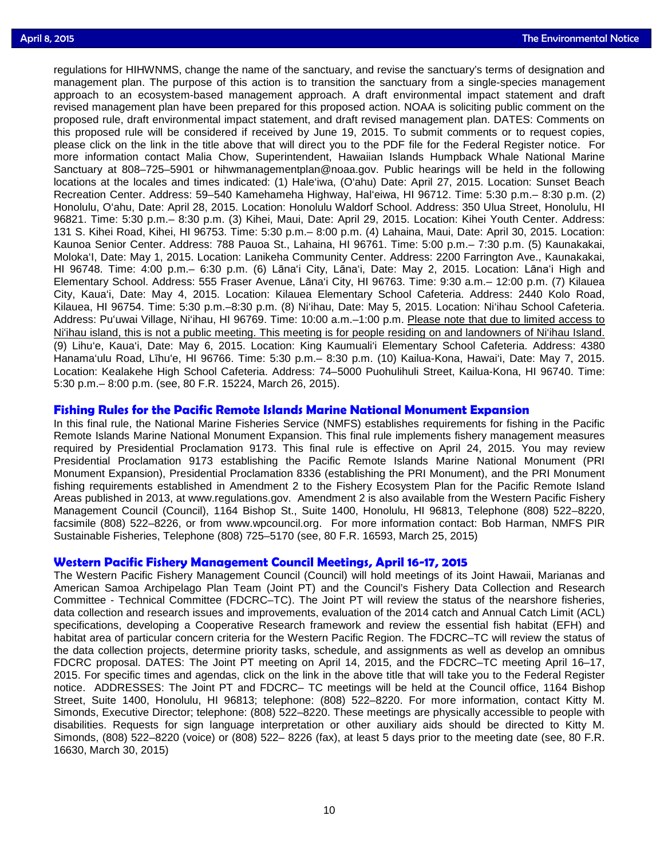regulations for HIHWNMS, change the name of the sanctuary, and revise the sanctuary's terms of designation and<br>management plan. The purpose of this action is to transition the sanctuary from a single-species management regulations for HIHWNMS, change the name of the sanctuary, and revise the sanctuary's terms of designation and approach to an ecosystem-based management approach. A draft environmental impact statement and draft revised management plan have been prepared for this proposed action. NOAA is soliciting public comment on the proposed rule, draft environmental impact statement, and draft revised management plan. DATES: Comments on this proposed rule will be considered if received by June 19, 2015. To submit comments or to request copies, please click on the link in the title above that will direct you to the PDF file for the Federal Register notice. For more information contact Malia Chow, Superintendent, Hawaiian Islands Humpback Whale National Marine Sanctuary at 808–725–5901 or hihwmanagementplan@noaa.gov. Public hearings will be held in the following locations at the locales and times indicated: (1) Hale'iwa, (O'ahu) Date: April 27, 2015. Location: Sunset Beach Recreation Center. Address: 59–540 Kamehameha Highway, Hal'eiwa, HI 96712. Time: 5:30 p.m.– 8:30 p.m. (2) Honolulu, O'ahu, Date: April 28, 2015. Location: Honolulu Waldorf School. Address: 350 Ulua Street, Honolulu, HI 96821. Time: 5:30 p.m.– 8:30 p.m. (3) Kihei, Maui, Date: April 29, 2015. Location: Kihei Youth Center. Address: 131 S. Kihei Road, Kihei, HI 96753. Time: 5:30 p.m.– 8:00 p.m. (4) Lahaina, Maui, Date: April 30, 2015. Location: Kaunoa Senior Center. Address: 788 Pauoa St., Lahaina, HI 96761. Time: 5:00 p.m.– 7:30 p.m. (5) Kaunakakai, Moloka'I, Date: May 1, 2015. Location: Lanikeha Community Center. Address: 2200 Farrington Ave., Kaunakakai, HI 96748. Time: 4:00 p.m.– 6:30 p.m. (6) Lāna'i City, Lāna'i, Date: May 2, 2015. Location: Lāna'i High and Elementary School. Address: 555 Fraser Avenue, Lāna'i City, HI 96763. Time: 9:30 a.m.– 12:00 p.m. (7) Kilauea City, Kaua'i, Date: May 4, 2015. Location: Kilauea Elementary School Cafeteria. Address: 2440 Kolo Road, Kilauea, HI 96754. Time: 5:30 p.m.–8:30 p.m. (8) Ni'ihau, Date: May 5, 2015. Location: Ni'ihau School Cafeteria. Address: Pu'uwai Village, Ni'ihau, HI 96769. Time: 10:00 a.m.–1:00 p.m. Please note that due to limited access to Ni'ihau island, this is not a public meeting. This meeting is for people residing on and landowners of Ni'ihau Island. (9) Lihu'e, Kaua'i, Date: May 6, 2015. Location: King Kaumuali'i Elementary School Cafeteria. Address: 4380 Hanama'ulu Road, Līhu'e, HI 96766. Time: 5:30 p.m.– 8:30 p.m. (10) Kailua-Kona, Hawai'i, Date: May 7, 2015. Location: Kealakehe High School Cafeteria. Address: 74–5000 Puohulihuli Street, Kailua-Kona, HI 96740. Time: 5:30 p.m.– 8:00 p.m. (see, 80 F.R. 15224, March 26, 2015).

### **[Fishing Rules for the Pacific Remote Islands Marine National Monument Expansion](http://www.gpo.gov/fdsys/pkg/FR-2015-03-25/pdf/2015-06402.pdf)**

In this final rule, the National Marine Fisheries Service (NMFS) establishes requirements for fishing in the Pacific Remote Islands Marine National Monument Expansion. This final rule implements fishery management measures required by Presidential Proclamation 9173. This final rule is effective on April 24, 2015. You may review Presidential Proclamation 9173 establishing the Pacific Remote Islands Marine National Monument (PRI Monument Expansion), Presidential Proclamation 8336 (establishing the PRI Monument), and the PRI Monument fishing requirements established in Amendment 2 to the Fishery Ecosystem Plan for the Pacific Remote Island Areas published in 2013, at www.regulations.gov. Amendment 2 is also available from the Western Pacific Fishery Management Council (Council), 1164 Bishop St., Suite 1400, Honolulu, HI 96813, Telephone (808) 522–8220, facsimile (808) 522–8226, or from www.wpcouncil.org. For more information contact: Bob Harman, NMFS PIR Sustainable Fisheries, Telephone (808) 725–5170 (see, 80 F.R. 16593, March 25, 2015)

### **[Western Pacific Fishery Management Council Meetings, April 16-17, 2015](http://www.gpo.gov/fdsys/pkg/FR-2015-03-30/pdf/2015-07156.pdf)**

The Western Pacific Fishery Management Council (Council) will hold meetings of its Joint Hawaii, Marianas and American Samoa Archipelago Plan Team (Joint PT) and the Council's Fishery Data Collection and Research Committee - Technical Committee (FDCRC–TC). The Joint PT will review the status of the nearshore fisheries, data collection and research issues and improvements, evaluation of the 2014 catch and Annual Catch Limit (ACL) specifications, developing a Cooperative Research framework and review the essential fish habitat (EFH) and habitat area of particular concern criteria for the Western Pacific Region. The FDCRC–TC will review the status of the data collection projects, determine priority tasks, schedule, and assignments as well as develop an omnibus FDCRC proposal. DATES: The Joint PT meeting on April 14, 2015, and the FDCRC–TC meeting April 16–17, 2015. For specific times and agendas, click on the link in the above title that will take you to the Federal Register notice. ADDRESSES: The Joint PT and FDCRC– TC meetings will be held at the Council office, 1164 Bishop Street, Suite 1400, Honolulu, HI 96813; telephone: (808) 522–8220. For more information, contact Kitty M. Simonds, Executive Director; telephone: (808) 522–8220. These meetings are physically accessible to people with disabilities. Requests for sign language interpretation or other auxiliary aids should be directed to Kitty M. Simonds, (808) 522–8220 (voice) or (808) 522– 8226 (fax), at least 5 days prior to the meeting date (see, 80 F.R. 16630, March 30, 2015)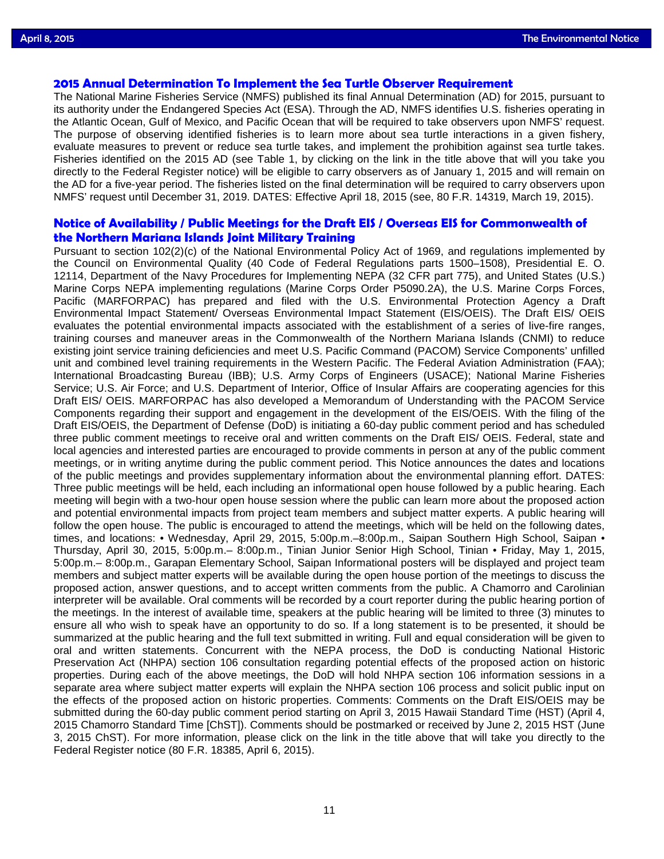# **[2015 Annual Determination To Implement the Sea Turtle Observer Requirement](http://www.gpo.gov/fdsys/pkg/FR-2015-03-19/pdf/2015-06341.pdf)**

The National Marine Fisheries Service (NMFS) published its final Annual Determination (AD) for 2015, pursuant to its authority under the Endangered Species Act (ESA). Through the AD, NMFS identifies U.S. fisheries operating in the Atlantic Ocean, Gulf of Mexico, and Pacific Ocean that will be required to take observers upon NMFS' request. The purpose of observing identified fisheries is to learn more about sea turtle interactions in a given fishery, evaluate measures to prevent or reduce sea turtle takes, and implement the prohibition against sea turtle takes. Fisheries identified on the 2015 AD (see Table 1, by clicking on the link in the title above that will you take you directly to the Federal Register notice) will be eligible to carry observers as of January 1, 2015 and will remain on the AD for a five-year period. The fisheries listed on the final determination will be required to carry observers upon NMFS' request until December 31, 2019. DATES: Effective April 18, 2015 (see, 80 F.R. 14319, March 19, 2015).

### **Notice of Availability / [Public Meetings for the Draft EIS / Overseas EIS for Commonwealth of](http://www.gpo.gov/fdsys/pkg/FR-2015-04-06/pdf/2015-07729.pdf)  [the Northern Mariana Islands Joint Military Training](http://www.gpo.gov/fdsys/pkg/FR-2015-04-06/pdf/2015-07729.pdf)**

Pursuant to section 102(2)(c) of the National Environmental Policy Act of 1969, and regulations implemented by the Council on Environmental Quality (40 Code of Federal Regulations parts 1500–1508), Presidential E. O. 12114, Department of the Navy Procedures for Implementing NEPA (32 CFR part 775), and United States (U.S.) Marine Corps NEPA implementing regulations (Marine Corps Order P5090.2A), the U.S. Marine Corps Forces, Pacific (MARFORPAC) has prepared and filed with the U.S. Environmental Protection Agency a Draft Environmental Impact Statement/ Overseas Environmental Impact Statement (EIS/OEIS). The Draft EIS/ OEIS evaluates the potential environmental impacts associated with the establishment of a series of live-fire ranges, training courses and maneuver areas in the Commonwealth of the Northern Mariana Islands (CNMI) to reduce existing joint service training deficiencies and meet U.S. Pacific Command (PACOM) Service Components' unfilled unit and combined level training requirements in the Western Pacific. The Federal Aviation Administration (FAA); International Broadcasting Bureau (IBB); U.S. Army Corps of Engineers (USACE); National Marine Fisheries Service; U.S. Air Force; and U.S. Department of Interior, Office of Insular Affairs are cooperating agencies for this Draft EIS/ OEIS. MARFORPAC has also developed a Memorandum of Understanding with the PACOM Service Components regarding their support and engagement in the development of the EIS/OEIS. With the filing of the Draft EIS/OEIS, the Department of Defense (DoD) is initiating a 60-day public comment period and has scheduled three public comment meetings to receive oral and written comments on the Draft EIS/ OEIS. Federal, state and local agencies and interested parties are encouraged to provide comments in person at any of the public comment meetings, or in writing anytime during the public comment period. This Notice announces the dates and locations of the public meetings and provides supplementary information about the environmental planning effort. DATES: Three public meetings will be held, each including an informational open house followed by a public hearing. Each meeting will begin with a two-hour open house session where the public can learn more about the proposed action and potential environmental impacts from project team members and subject matter experts. A public hearing will follow the open house. The public is encouraged to attend the meetings, which will be held on the following dates, times, and locations: • Wednesday, April 29, 2015, 5:00p.m.–8:00p.m., Saipan Southern High School, Saipan • Thursday, April 30, 2015, 5:00p.m.– 8:00p.m., Tinian Junior Senior High School, Tinian • Friday, May 1, 2015, 5:00p.m.– 8:00p.m., Garapan Elementary School, Saipan Informational posters will be displayed and project team members and subject matter experts will be available during the open house portion of the meetings to discuss the proposed action, answer questions, and to accept written comments from the public. A Chamorro and Carolinian interpreter will be available. Oral comments will be recorded by a court reporter during the public hearing portion of the meetings. In the interest of available time, speakers at the public hearing will be limited to three (3) minutes to ensure all who wish to speak have an opportunity to do so. If a long statement is to be presented, it should be summarized at the public hearing and the full text submitted in writing. Full and equal consideration will be given to oral and written statements. Concurrent with the NEPA process, the DoD is conducting National Historic Preservation Act (NHPA) section 106 consultation regarding potential effects of the proposed action on historic properties. During each of the above meetings, the DoD will hold NHPA section 106 information sessions in a separate area where subject matter experts will explain the NHPA section 106 process and solicit public input on the effects of the proposed action on historic properties. Comments: Comments on the Draft EIS/OEIS may be submitted during the 60-day public comment period starting on April 3, 2015 Hawaii Standard Time (HST) (April 4, 2015 Chamorro Standard Time [ChST]). Comments should be postmarked or received by June 2, 2015 HST (June 3, 2015 ChST). For more information, please click on the link in the title above that will take you directly to the Federal Register notice (80 F.R. 18385, April 6, 2015).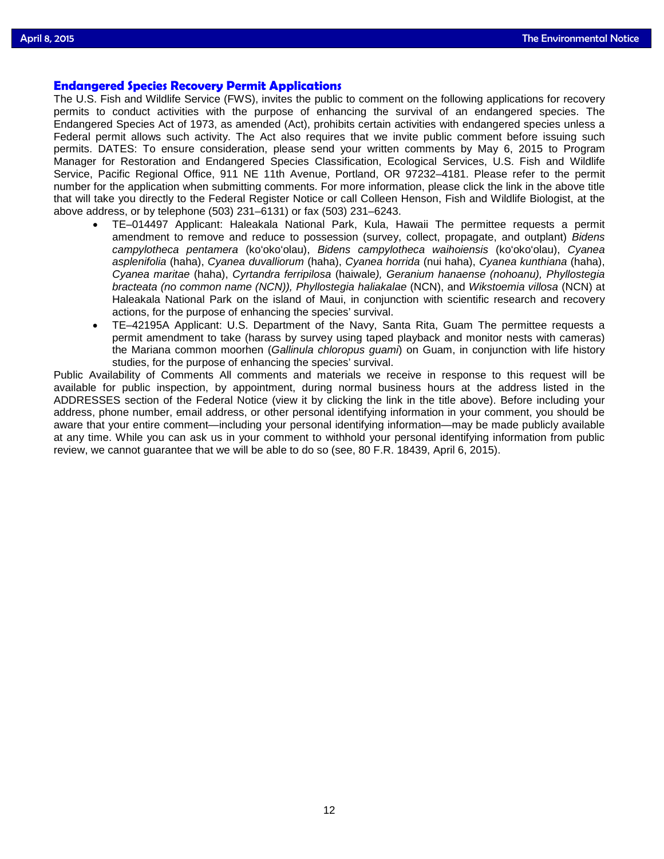# **[Endangered Species Recovery Permit Applications](http://www.gpo.gov/fdsys/pkg/FR-2015-04-06/pdf/2015-07662.pdf)**

The U.S. Fish and Wildlife Service (FWS), invites the public to comment on the following applications for recovery permits to conduct activities with the purpose of enhancing the survival of an endangered species. The Endangered Species Act of 1973, as amended (Act), prohibits certain activities with endangered species unless a Federal permit allows such activity. The Act also requires that we invite public comment before issuing such permits. DATES: To ensure consideration, please send your written comments by May 6, 2015 to Program Manager for Restoration and Endangered Species Classification, Ecological Services, U.S. Fish and Wildlife Service, Pacific Regional Office, 911 NE 11th Avenue, Portland, OR 97232–4181. Please refer to the permit number for the application when submitting comments. For more information, please click the link in the above title that will take you directly to the Federal Register Notice or call Colleen Henson, Fish and Wildlife Biologist, at the above address, or by telephone (503) 231–6131) or fax (503) 231–6243.

- TE–014497 Applicant: Haleakala National Park, Kula, Hawaii The permittee requests a permit amendment to remove and reduce to possession (survey, collect, propagate, and outplant) *Bidens campylotheca pentamera* (ko'oko'olau), *Bidens campylotheca waihoiensis* (ko'oko'olau), *Cyanea asplenifolia* (haha), *Cyanea duvalliorum* (haha), *Cyanea horrida* (nui haha), *Cyanea kunthiana* (haha), *Cyanea maritae* (haha), *Cyrtandra ferripilosa* (haiwale*), Geranium hanaense (nohoanu), Phyllostegia bracteata (no common name (NCN)), Phyllostegia haliakalae* (NCN), and *Wikstoemia villosa* (NCN) at Haleakala National Park on the island of Maui, in conjunction with scientific research and recovery actions, for the purpose of enhancing the species' survival.
- TE–42195A Applicant: U.S. Department of the Navy, Santa Rita, Guam The permittee requests a permit amendment to take (harass by survey using taped playback and monitor nests with cameras) the Mariana common moorhen (*Gallinula chloropus guami*) on Guam, in conjunction with life history studies, for the purpose of enhancing the species' survival.

Public Availability of Comments All comments and materials we receive in response to this request will be available for public inspection, by appointment, during normal business hours at the address listed in the ADDRESSES section of the Federal Notice (view it by clicking the link in the title above). Before including your address, phone number, email address, or other personal identifying information in your comment, you should be aware that your entire comment—including your personal identifying information—may be made publicly available at any time. While you can ask us in your comment to withhold your personal identifying information from public review, we cannot guarantee that we will be able to do so (see, 80 F.R. 18439, April 6, 2015).